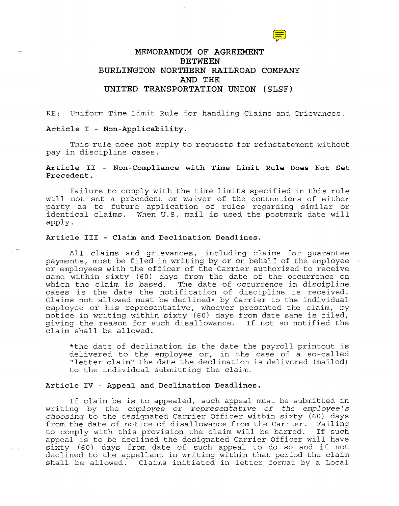# **MEMORANDUM OF AGREEMENT BETWEEN BURLINGTON NORTHERN RAILROAD COMPANY AND THE UNITED TRANSPORTATION UNION {SLSF)**

RE: Uniform Time Limit Rule for handling Claims and Grievances.

## **Article** I - **Non-Applicability.**

This rule does not apply to requests for reinstatement without pay in discipline cases.

## **Article** II - **Non-Compliance with Time Limit Rule Does Not Set Precedent.**

Failure to comply with the time limits specified in this rule will not set a precedent or waiver of the contentions of either party as to future application of rules regarding similar or identical claims. When U.S. mail is used the postmark date will apply.

### **Article III - Claim and Declination Deadlines.**

All claims and grievances, including claims for guarantee payments, must be filed in writing by or on behalf of the employee or employees with the officer of the Carrier authorized to receive same within sixty (60) days from the date of the occurrence on which the claim is based. The date of occurrence in discipline cases is the date the notification of discipline is received. Claims not allowed must be declined\* by Carrier to the individual employee or his representative, whoever presented the claim, by notice in writing within sixty (60) days from date same is filed, giving the reason for such disallowance. If not so notified the claim shall be allowed.

\*the date of declination is the date the payroll printout is delivered to the employee or, in the case of a so-called "letter claim" the date the declination is delivered (mailed) to the individual submitting the claim.

## **Article IV - Appeal and Declination Deadlines.**

If claim be is to appealed, such appeal must be submitted in writing by the *employee or representative of the employee's choosing* to the designated Carrier Officer within sixty (60) days from the date of notice of disallowance from the Carrier. Failing to comply with this provision the claim will be barred. If such appeal is to be declined the designated Carrier Officer will have sixty (60) days from date of such appeal to do so and if not declined to the appellant in writing within that period the claim shall be allowed. Claims initiated in letter format by a Local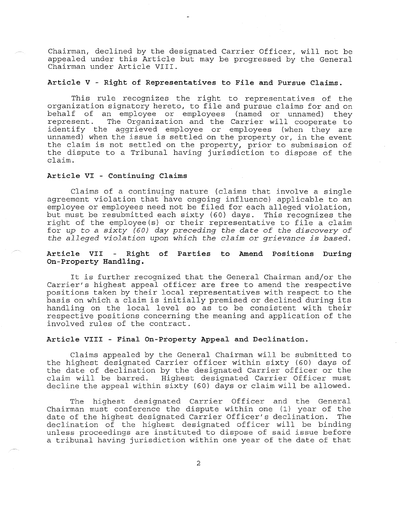Chairman, declined by the designated Carrier Officer, will not be appealed under this Article but may be progressed by the General Chairman under Article VIII.

#### **Article V - Right of Representatives to File and Pursue Claims.**

This rule recognizes the right to representatives of the organization signatory hereto, to file and pursue claims for and on behalf of an employee or employees (named or unnamed) they The Organization and the Carrier will cooperate to identify the aggrieved employee or employees (when they are unnamed) when the issue is settled on the property or, in the event the claim is not settled on the property, prior to submission of the dispute to a Tribunal having jurisdiction to dispose of the claim.

## **Article VI - Continuing Claims**

Claims of a continuing nature (claims that involve a single agreement violation that have ongoing influence) applicable to an employee or employees need not be filed for each alleged violation, but must be resubmitted each sixty (60) days. This recognizes the right of the employee(s) or their representative to file a claim for *up* to *a sixty (60) day preceding the date of the discovery of the alleged violation upon which the claim* or *grievance is based.* 

## **Article VII Right of Parties to Amend Positions During On-Property Handling.**

It is further recognized that the General Chairman and/or the Carrier's highest appeal officer are free to amend the respective positions taken by their local representatives with respect to the basis on which a claim is initially premised or declined during its handling on the local level so as to be consistent with their respective positions concerning the meaning and application of the involved rules of the contract.

### **Article VIII - Final On-Property Appeal and Declination.**

Claims appealed by the General Chairman will be submitted to the highest designated Carrier officer within sixty (60) days of the date of declination by the designated Carrier officer or the claim will be barred. Highest designated Carrier Officer must decline the appeal within sixty (60) days or claim will be allowed.

The highest designated Carrier Officer and the General Chairman must conference the dispute within one (1) year of the date of the highest designated Carrier Officer's declination. declination of the highest designated officer will be binding unless proceedings are instituted to dispose of said issue before a tribunal having jurisdiction within one year of the date of that